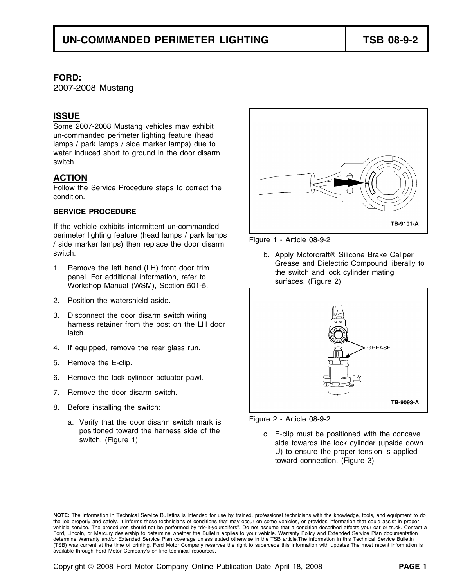#### **FORD:**

2007-2008 Mustang

### **ISSUE**

Some 2007-2008 Mustang vehicles may exhibit un-commanded perimeter lighting feature (head lamps / park lamps / side marker lamps) due to water induced short to ground in the door disarm switch.

## **ACTION**

Follow the Service Procedure steps to correct the condition.

#### **SERVICE PROCEDURE**

If the vehicle exhibits intermittent un-commanded perimeter lighting feature (head lamps / park lamps<br>/ side marker lamps) then replace the door disarm<br> switch. b. Apply Motorcraft<sup>®</sup> Silicone Brake Caliper

- 
- 2. Position the watershield aside.
- 3. Disconnect the door disarm switch wiring harness retainer from the post on the LH door latch.
- 4. If equipped, remove the rear glass run.
- 5. Remove the E-clip.
- 6. Remove the lock cylinder actuator pawl.
- 7. Remove the door disarm switch.
- 8. Before installing the switch:
	- Figure 2 Article 08-9-2 a. Verify that the door disarm switch mark is



1. Remove the left hand (LH) front door trim<br>
panel. For additional information, refer to<br>
Workshop Manual (WSM), Section 501-5.<br>
The switch and lock cylinder mating<br>
surfaces. (Figure 2)





positioned toward the harness side of the c. E-clip must be positioned with the concave switch. (Figure 1) side towards the lock cylinder (upside down U) to ensure the proper tension is applied toward connection. (Figure 3)

**NOTE:** The information in Technical Service Bulletins is intended for use by trained, professional technicians with the knowledge, tools, and equipment to do the job properly and safely. It informs these technicians of conditions that may occur on some vehicles, or provides information that could assist in proper vehicle service. The procedures should not be performed by "do-it-yourselfers". Do not assume that a condition described affects your car or truck. Contact a Ford, Lincoln, or Mercury dealership to determine whether the Bulletin applies to your vehicle. Warranty Policy and Extended Service Plan documentation determine Warranty and/or Extended Service Plan coverage unless stated otherwise in the TSB article.The information in this Technical Service Bulletin (TSB) was current at the time of printing. Ford Motor Company reserves the right to supercede this information with updates.The most recent information is available through Ford Motor Company's on-line technical resources.